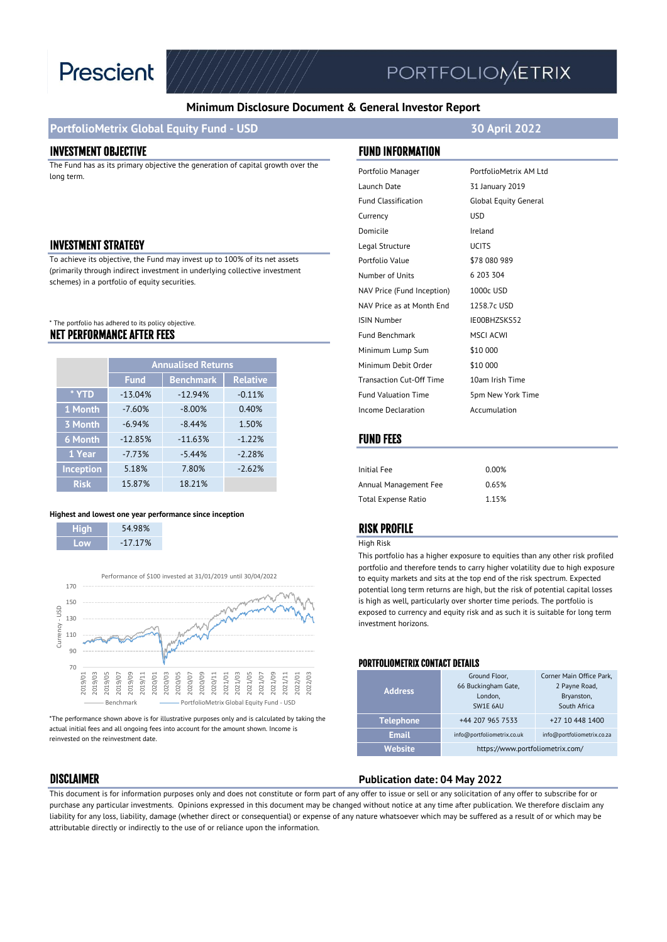

# **PORTFOLIOMETRIX**

#### **Minimum Disclosure Document & General Investor Report**

### **PortfolioMetrix Global Equity Fund - USD 30 April 2022**

#### INVESTMENT OBJECTIVE FUND INFORMATION

The Fund has as its primary objective the generation of capital growth over the long term.

#### **INVESTMENT STRATEGY**

To achieve its objective, the Fund may invest up to 100% of its net assets (primarily through indirect investment in underlying collective investment schemes) in a portfolio of equity securities.

#### NET PERFORMANCE AFTER FEES \* The portfolio has adhered to its policy objective.

|                  | <b>Annualised Returns</b> |                  |                 |
|------------------|---------------------------|------------------|-----------------|
|                  | <b>Fund</b>               | <b>Benchmark</b> | <b>Relative</b> |
| * YTD            | $-13.04%$                 | $-12.94%$        | $-0.11%$        |
| 1 Month          | $-7.60%$                  | $-8.00%$         | 0.40%           |
| 3 Month          | $-6.94%$                  | $-8.44%$         | 1.50%           |
| 6 Month          | $-12.85%$                 | $-11.63%$        | $-1.22%$        |
| 1 Year           | $-7.73%$                  | $-5.44%$         | $-2.28%$        |
| <b>Inception</b> | 5.18%                     | 7.80%            | $-2.62%$        |
| <b>Risk</b>      | 15.87%                    | 18.21%           |                 |

#### **Highest and lowest one year performance since inception**

| Hiah | 54.98%     |
|------|------------|
| l ow | $-17.17\%$ |

I



\*The performance shown above is for illustrative purposes only and is calculated by taking the actual initial fees and all ongoing fees into account for the amount shown. Income is reinvested on the reinvestment date.

| Portfolio Manager               | PortfolioMetrix AM Ltd       |
|---------------------------------|------------------------------|
| Launch Date                     | 31 January 2019              |
| <b>Fund Classification</b>      | <b>Global Equity General</b> |
| Currency                        | <b>USD</b>                   |
| Domicile                        | Ireland                      |
| Legal Structure                 | <b>UCITS</b>                 |
| Portfolio Value                 | \$78 080 989                 |
| Number of Units                 | 6 203 304                    |
| NAV Price (Fund Inception)      | 1000c USD                    |
| NAV Price as at Month End       | 1258.7c USD                  |
| <b>ISIN Number</b>              | IE00BHZSKS52                 |
| <b>Fund Benchmark</b>           | <b>MSCI ACWI</b>             |
| Minimum Lump Sum                | \$10 000                     |
| Minimum Debit Order             | \$10 000                     |
| <b>Transaction Cut-Off Time</b> | 10am Irish Time              |
| <b>Fund Valuation Time</b>      | 5pm New York Time            |
| Income Declaration              | Accumulation                 |

#### FUND FEES

| Initial Fee           | 0.00% |
|-----------------------|-------|
| Annual Management Fee | 0.65% |
| Total Expense Ratio   | 1.15% |

#### RISK PROFILE

#### High Risk

This portfolio has a higher exposure to equities than any other risk profiled portfolio and therefore tends to carry higher volatility due to high exposure to equity markets and sits at the top end of the risk spectrum. Expected potential long term returns are high, but the risk of potential capital losses is high as well, particularly over shorter time periods. The portfolio is exposed to currency and equity risk and as such it is suitable for long term investment horizons.

#### PORTFOLIOMETRIX CONTACT DETAILS

| <b>Address</b>   | Ground Floor,<br>66 Buckingham Gate,<br>London.<br>SW1E 6AU | Corner Main Office Park,<br>2 Payne Road,<br>Bryanston,<br>South Africa |
|------------------|-------------------------------------------------------------|-------------------------------------------------------------------------|
| <b>Telephone</b> | +44 207 965 7533                                            | +27 10 448 1400                                                         |
| <b>Email</b>     | info@portfoliometrix.co.uk                                  | info@portfoliometrix.co.za                                              |
| Website          | https://www.portfoliometrix.com/                            |                                                                         |

#### DISCLAIMER **Publication date: 04 May 2022**

This document is for information purposes only and does not constitute or form part of any offer to issue or sell or any solicitation of any offer to subscribe for or purchase any particular investments. Opinions expressed in this document may be changed without notice at any time after publication. We therefore disclaim any liability for any loss, liability, damage (whether direct or consequential) or expense of any nature whatsoever which may be suffered as a result of or which may be attributable directly or indirectly to the use of or reliance upon the information.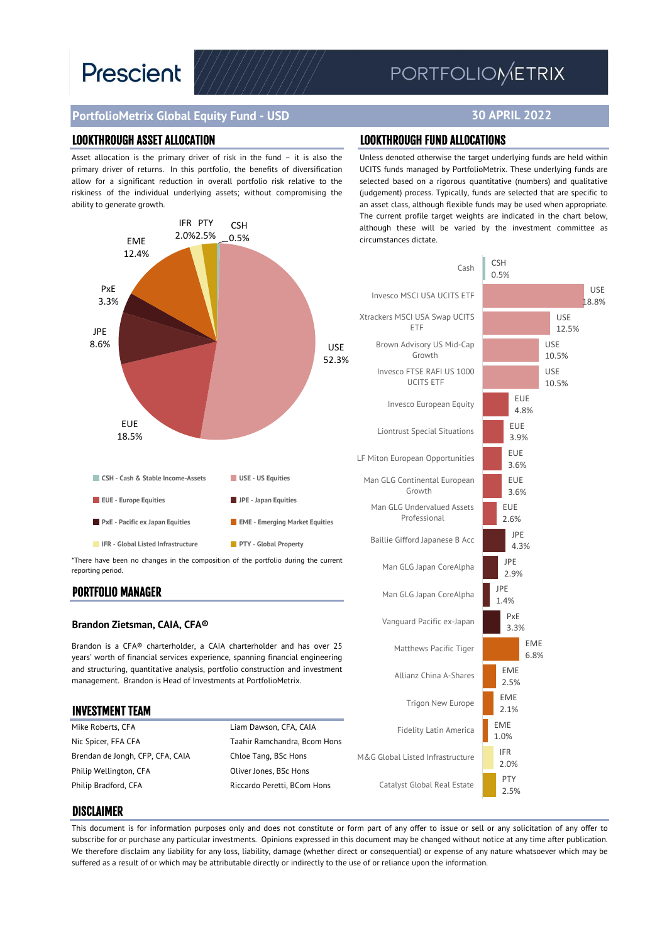# **Prescient**

## PORTFOLIOMETRIX

### **PortfolioMetrix Global Equity Fund - USD**

Asset allocation is the primary driver of risk in the fund – it is also the primary driver of returns. In this portfolio, the benefits of diversification allow for a significant reduction in overall portfolio risk relative to the riskiness of the individual underlying assets; without compromising the ability to generate growth.



\*There have been no changes in the composition of the portfolio during the current reporting period.

#### PORTFOLIO MANAGER

#### **Brandon Zietsman, CAIA, CFA®**

Brandon is a CFA® charterholder, a CAIA charterholder and has over 25 years' worth of financial services experience, spanning financial engineering and structuring, quantitative analysis, portfolio construction and investment management. Brandon is Head of Investments at PortfolioMetrix.

| <b>INVESTMENT TEAM</b>           |                              |           |
|----------------------------------|------------------------------|-----------|
| Mike Roberts, CFA                | Liam Dawson, CFA, CAIA       |           |
| Nic Spicer, FFA CFA              | Taahir Ramchandra, Bcom Hons |           |
| Brendan de Jongh, CFP, CFA, CAIA | Chloe Tang, BSc Hons         | M&G Globa |
| Philip Wellington, CFA           | Oliver Jones, BSc Hons       |           |
| Philip Bradford, CFA             | Riccardo Peretti, BCom Hons  | Catal     |
|                                  |                              |           |

**30 APRIL 2022**

#### LOOKTHROUGH ASSET ALLOCATION LOOKTHROUGH FUND ALLOCATIONS

Unless denoted otherwise the target underlying funds are held within UCITS funds managed by PortfolioMetrix. These underlying funds are selected based on a rigorous quantitative (numbers) and qualitative (judgement) process. Typically, funds are selected that are specific to an asset class, although flexible funds may be used when appropriate. The current profile target weights are indicated in the chart below, although these will be varied by the investment committee as circumstances dictate.



#### DISCLAIMER

This document is for information purposes only and does not constitute or form part of any offer to issue or sell or any solicitation of any offer to subscribe for or purchase any particular investments. Opinions expressed in this document may be changed without notice at any time after publication. We therefore disclaim any liability for any loss, liability, damage (whether direct or consequential) or expense of any nature whatsoever which may be suffered as a result of or which may be attributable directly or indirectly to the use of or reliance upon the information.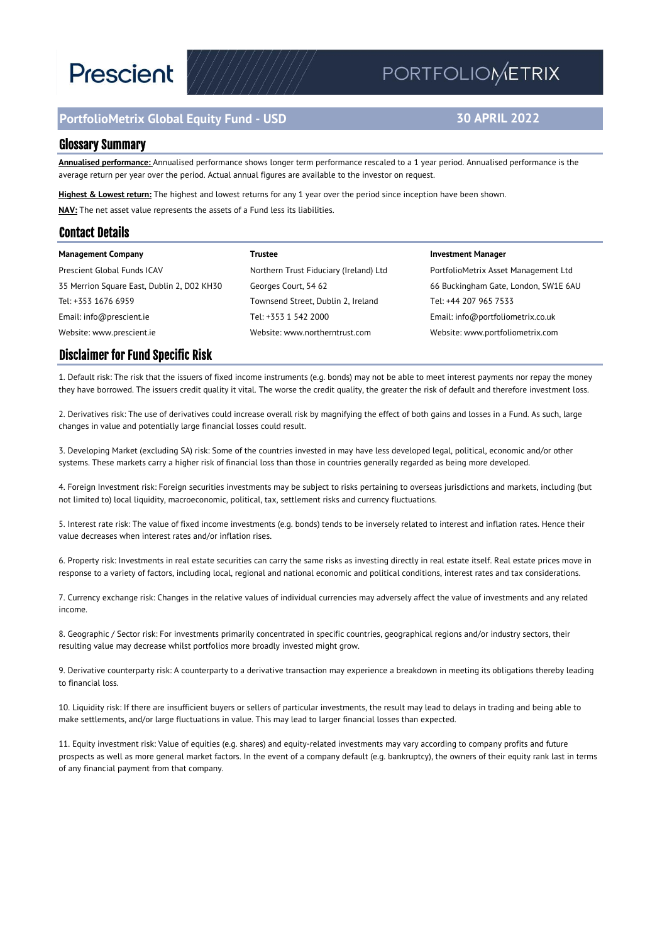# **Prescient**

## **PortfolioMetrix Global Equity Fund - USD**

## PORTFOLIOMETRIX

### **30 APRIL 2022**

#### Glossary Summary

**Annualised performance:** Annualised performance shows longer term performance rescaled to a 1 year period. Annualised performance is the average return per year over the period. Actual annual figures are available to the investor on request.

**Highest & Lowest return:** The highest and lowest returns for any 1 year over the period since inception have been shown. **NAV:** The net asset value represents the assets of a Fund less its liabilities.

#### Contact Details

| <b>Management Company</b>                  | Trustee                                | <b>Investment Manager</b>            |
|--------------------------------------------|----------------------------------------|--------------------------------------|
| Prescient Global Funds ICAV                | Northern Trust Fiduciary (Ireland) Ltd | PortfolioMetrix Asset Management Ltd |
| 35 Merrion Square East, Dublin 2, D02 KH30 | Georges Court, 54 62                   | 66 Buckingham Gate, London, SW1E 6AU |
| Tel: +353 1676 6959                        | Townsend Street, Dublin 2, Ireland     | Tel: +44 207 965 7533                |
| Email: info@prescient.ie                   | Tel: +353 1 542 2000                   | Email: info@portfoliometrix.co.uk    |
| Website: www.prescient.ie                  | Website: www.northerntrust.com         | Website: www.portfoliometrix.com     |

#### Disclaimer for Fund Specific Risk

1. Default risk: The risk that the issuers of fixed income instruments (e.g. bonds) may not be able to meet interest payments nor repay the money they have borrowed. The issuers credit quality it vital. The worse the credit quality, the greater the risk of default and therefore investment loss.

2. Derivatives risk: The use of derivatives could increase overall risk by magnifying the effect of both gains and losses in a Fund. As such, large changes in value and potentially large financial losses could result.

3. Developing Market (excluding SA) risk: Some of the countries invested in may have less developed legal, political, economic and/or other systems. These markets carry a higher risk of financial loss than those in countries generally regarded as being more developed.

4. Foreign Investment risk: Foreign securities investments may be subject to risks pertaining to overseas jurisdictions and markets, including (but not limited to) local liquidity, macroeconomic, political, tax, settlement risks and currency fluctuations.

5. Interest rate risk: The value of fixed income investments (e.g. bonds) tends to be inversely related to interest and inflation rates. Hence their value decreases when interest rates and/or inflation rises.

6. Property risk: Investments in real estate securities can carry the same risks as investing directly in real estate itself. Real estate prices move in response to a variety of factors, including local, regional and national economic and political conditions, interest rates and tax considerations.

7. Currency exchange risk: Changes in the relative values of individual currencies may adversely affect the value of investments and any related income.

8. Geographic / Sector risk: For investments primarily concentrated in specific countries, geographical regions and/or industry sectors, their resulting value may decrease whilst portfolios more broadly invested might grow.

9. Derivative counterparty risk: A counterparty to a derivative transaction may experience a breakdown in meeting its obligations thereby leading to financial loss.

10. Liquidity risk: If there are insufficient buyers or sellers of particular investments, the result may lead to delays in trading and being able to make settlements, and/or large fluctuations in value. This may lead to larger financial losses than expected.

11. Equity investment risk: Value of equities (e.g. shares) and equity-related investments may vary according to company profits and future prospects as well as more general market factors. In the event of a company default (e.g. bankruptcy), the owners of their equity rank last in terms of any financial payment from that company.